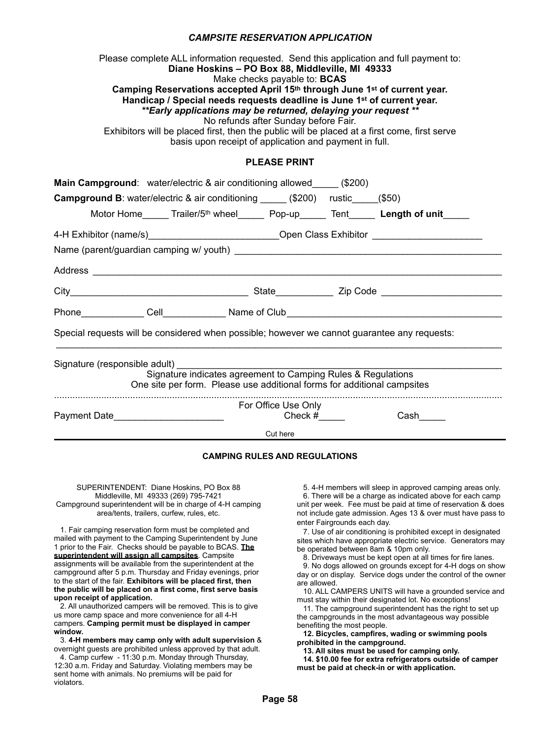## **CAMPSITE RESERVATION APPLICATION**

Please complete ALL information requested. Send this application and full payment to: mplete ALL information requested. Send this application and full particularly returned to **Diane Hoskins – PO Box 88, Middleville, MI** 49333 Make checks payable to: **BCAS** wiake criecks payable to: **BCAS**<br>Camping Reservations accepted April 15<sup>th</sup> through June 1st of current year. **Handicap / Special needs requests deadline is June 1st of current year.**  basis upon receipt of application and payment in full. *\*\*Early applications may be returned, delaying your request \*\**  anons may be returned, delaying yo<br>No refunds after Sunday before Fair. Exhibitors will be placed first, then the public will be placed at a first come, first serve **Exhibitors** will be placed at a first come, first serve basis upon receipt of application and payment in full. **PLEASE PRINT Main Campground**: water/electric & air conditioning allowed\_\_\_\_\_\_ (\$200) **Campground B**: water/electric & air conditioning \_\_\_\_\_\_ (\$200) rustic\_\_\_\_\_(\$50) Motor Home Trailer/5<sup>th</sup> wheel Pop-up Tent Length of unit 4-H Exhibitor (name/s) example and the Class Exhibitor compared to the Class Exhibitor  $\sim$ Name (parent/guardian camping w/ youth) \_\_\_\_\_\_\_\_\_\_\_\_\_\_\_\_\_\_\_\_\_\_\_\_\_\_\_\_\_\_\_\_\_\_\_\_\_\_\_\_\_\_\_\_\_\_\_\_\_\_\_ City\_\_\_\_\_\_\_\_\_\_\_\_\_\_\_\_\_\_\_\_\_\_\_\_\_\_\_\_\_\_\_\_\_\_ State\_\_\_\_\_\_\_\_\_\_\_ Zip Code \_\_\_\_\_\_\_\_\_\_\_\_\_\_\_\_\_\_\_\_\_\_\_ Address **and a** City\_\_\_\_\_\_\_\_\_\_\_\_\_\_\_\_\_\_\_\_\_\_\_\_\_\_\_\_\_\_\_\_\_\_ State\_\_\_\_\_\_\_\_\_\_\_ Zip Code \_\_\_\_\_\_\_\_\_\_\_\_\_\_\_\_\_\_\_\_\_\_\_ Special requests will be considered when possible; however we cannot guarantee any requests: Phone\_\_\_\_\_\_\_\_\_\_\_\_\_\_ Cell\_\_\_\_\_\_\_\_\_\_\_\_\_\_\_Name of Club\_\_\_\_\_\_\_\_\_\_\_\_\_\_\_\_\_\_\_\_\_\_\_\_\_\_\_\_\_\_ Special requests will be considered when possible; however we cannot guarantee any requests: \_\_\_\_\_\_\_\_\_\_\_\_\_\_\_\_\_\_\_\_\_\_\_\_\_\_\_\_\_\_\_\_\_\_\_\_\_\_\_\_\_\_\_\_\_\_\_\_\_\_\_\_\_\_\_\_\_\_\_\_\_\_\_\_\_\_\_\_\_\_\_\_\_\_\_\_\_\_\_\_\_\_\_\_\_ Signature (responsible adult) Signature indicates agreement to Camping Rules & Regulations Payment Date\_\_\_\_\_\_\_\_\_\_\_\_\_\_\_\_\_\_\_\_\_ Check #\_\_\_\_\_ Cash\_\_\_\_\_ One site per form. Please use additional forms for additional campsites ........................................................................................................................................................................... **For Office Use Only** Payment Date\_\_\_\_\_\_\_\_\_\_\_\_\_\_\_\_\_\_\_\_\_ Check #\_\_\_\_\_ Cash\_\_\_\_\_ Cut here **CAMP SITE RESERVATION APPLICATION**  $V$ USNIIIS – FU BUX 00, MILLUIBVIIIB, MILLUIS  $C$  air conditioning  $B$ : water-electric  $B$ : water-electric  $\mathcal{S}$ Motor Home\_\_\_\_\_ Trailer/5th wheel\_\_\_\_\_ Pop-up\_\_\_\_\_ Tent\_\_\_\_\_ **Length of unit**\_\_\_\_\_  $\rho$  d d so one. \_\_\_\_\_\_\_\_\_\_\_\_\_\_\_\_\_\_\_\_\_\_\_\_\_\_\_\_\_\_\_\_\_\_\_\_\_\_\_\_\_\_\_\_\_\_\_\_\_\_\_\_\_\_\_\_\_\_\_\_\_\_\_\_\_\_\_\_\_\_\_\_\_\_\_\_\_\_\_\_\_\_\_\_\_  $m$  be considered when possible, nowever we cannot guarantee any requ ........................................................................................................................................................................... SUPERINTENDENT: Diane Hoskins, PO Box 88  $\mathcal{L}_{\mathcal{A}}$  , and the members will sleep in approximately areas only.

## **CAMPING RULES AND REGULATIONS**

## SUPERINTENDENT: Diane Hoskins, PO Box 88 Middleville, MI 49333 (269) 795-7421 middleville, MIT 49333 (209) 793-7421<br>Campground superintendent will be in charge of 4-H camping area/tents, trailers, curfew, rules, etc. SUFERINTENDENT. DIATH FIOSNITIS, FU BUX 00 superintendent will be in charge of 4-H c

1. Fair camping reservation form must be completed and mailed with payment to the Camping Superintendent by June Inalied with payment to the Camping Superimendent by Suite<br>1 prior to the Fair. Checks should be payable to BCAS. **The superintendent will assign all campsites**. Campsite **superintendent will assign all campsites**. Campsite<br>assignments will be available from the superintendent at the campground after 5 p.m. Thursday and Friday evenings, prior campion of the displayed in campion of the displayed in campion of the displayed in campion of the displayed in campion of the displayed in the campion of the dis **to the start of the fair. Exhibitors will be placed first, then <br>the multis will be placed as a first association is a product the public will be placed on a first come, first serve basis**  3. **4-H members may camp only with adult supervision** & **upon receipt of application.**  to **rail camping reservation form must be completed and upon receipt of application.**  dissignments will be available from the superintendent a

**upon recelpt or application.**<br>2. All unauthorized campers will be removed. This is to give us more camp space and more convenience for all 4-H us more camp space and more convenience for all 4-m.<br>campers. **Camping permit must be displayed in camper window.**  2. All undulnumed campels will be removed. This is to gi campers. Camping permit must be uisplayed in car<br>wind was

window.<br>3. 4-H members may camp only with adult supervision **&** overnight guests are prohibited unless approved by that adult.

 4. Camp curfew - 11:30 p.m. Monday through Thursday, 12:30 a.m. Friday and Saturday. Violating members may be sent home with animals. No premiums will be paid for violators.

5. 4-H members will sleep in approved camping areas only.

6. There will be a charge as indicated above for each camp of these manuscript be indicated above to call camp and per mean in the mask selpens at time or recorred. It is above that the second include gate admission. Ages 13 & over must have pass to enter Fairgrounds each day. 1. Not include gate admission rigger to at ever made have pass to

ence Fangrounds cach day.<br>7. Use of air conditioning is prohibited except in designated sites which have appropriate electric service. Generators may be operated between 8am & 10pm only. r. US<del>C</del> UI d<br>d.t. . . . . . . . . .

be operated between oam & Topin only.<br>8. Driveways must be kept open at all times for fire lanes. 11. The campaign superintendent in the campaign to set up the right to set up to set up to set up to set up to set up to set up to set up to set up to set up to set up to set up to set up to set up to set up to set up to s

9. No dogs allowed on grounds except for 4-H dogs on show by the campaign of the most advantageous way possible. day or on display. Service dogs under the control of the owner are allowed.

are allowed.<br>10. ALL CAMPERS UNITS will have a grounded service and must stay within their designated lot. No exceptions! **Profession IV. ALL UAIVIFERS UNITS WILL** 

must stay within their designated for. No exceptions!<br>11. The campground superintendent has the right to set up the campgrounds in the most advantageous way possible because the proses benefiting the most people. **11. The campyround superintendent has the right to set up** 

 **12. Bicycles, campfires, wading or swimming pools prohibited in the campground.** 

 **13. All sites must be used for camping only.** 

 **14. \$10.00 fee for extra refrigerators outside of camper must be paid at check-in or with application.**